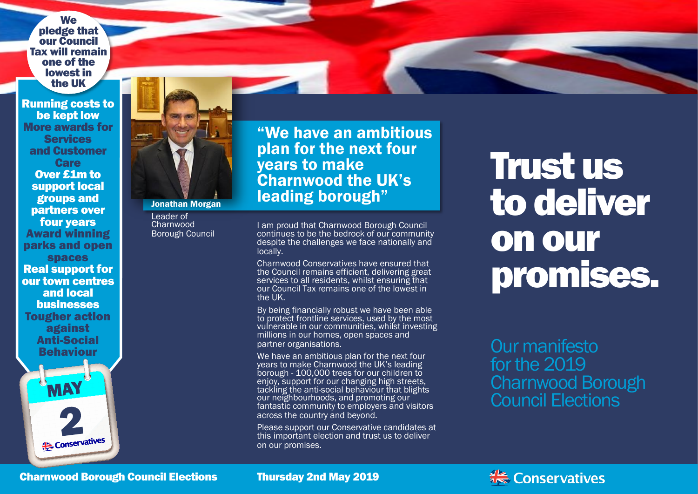**We** pledge that our Council Tax will remain one of the lowest in the UK

Running costs to be kept low More awards for **Services** and Customer **Care** Over £1m to support local groups and partners over four years Award winning parks and open spaces Real support for our town centres and local businesses Tougher action against Anti-Social Behaviour

MAY

**Conservatives** 



#### Jonathan Morgan

Leader of Charnwood Borough Council "We have an ambitious plan for the next four years to make Charnwood the UK's leading borough"

I am proud that Charnwood Borough Council continues to be the bedrock of our community despite the challenges we face nationally and locally.

Charnwood Conservatives have ensured that the Council remains efficient, delivering great services to all residents, whilst ensuring that our Council Tax remains one of the lowest in the UK.

By being financially robust we have been able to protect frontline services, used by the most vulnerable in our communities, whilst investing millions in our homes, open spaces and partner organisations.

We have an ambitious plan for the next four years to make Charnwood the UK's leading borough - 100,000 trees for our children to enjoy, support for our changing high streets, tackling the anti-social behaviour that blights our neighbourhoods, and promoting our fantastic community to employers and visitors across the country and beyond.

Please support our Conservative candidates at this important election and trust us to deliver on our promises.

# Trust us to deliver on our promises.

Our manifesto for the 2019 Charnwood Borough Council Elections

Charnwood Borough Council Elections

Thursday 2nd May 2019